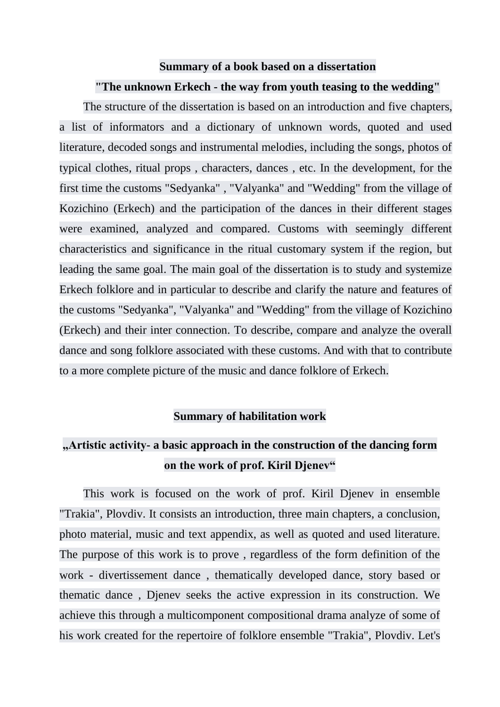## **Summary of a book based on a dissertation**

## **"The unknown Erkech - the way from youth teasing to the wedding"**

The structure of the dissertation is based on an introduction and five chapters, a list of informators and a dictionary of unknown words, quoted and used literature, decoded songs and instrumental melodies, including the songs, photos of typical clothes, ritual props , characters, dances , etc. In the development, for the first time the customs "Sedyanka" , "Valyanka" and "Wedding" from the village of Kozichino (Erkech) and the participation of the dances in their different stages were examined, analyzed and compared. Customs with seemingly different characteristics and significance in the ritual customary system if the region, but leading the same goal. The main goal of the dissertation is to study and systemize Erkech folklore and in particular to describe and clarify the nature and features of the customs "Sedyanka", "Valyanka" and "Wedding" from the village of Kozichino (Erkech) and their inter connection. To describe, compare and analyze the overall dance and song folklore associated with these customs. And with that to contribute to a more complete picture of the music and dance folklore of Erkech.

## **Summary of habilitation work**

## **"Artistic activity- a basic approach in the construction of the dancing form on the work of prof. Kiril Djenev"**

This work is focused on the work of prof. Kiril Djenev in ensemble "Trakia", Plovdiv. It consists an introduction, three main chapters, a conclusion, photo material, music and text appendix, as well as quoted and used literature. The purpose of this work is to prove , regardless of the form definition of the work - divertissement dance , thematically developed dance, story based or thematic dance , Djenev seeks the active expression in its construction. We achieve this through a multicomponent compositional drama analyze of some of his work created for the repertoire of folklore ensemble "Trakia", Plovdiv. Let's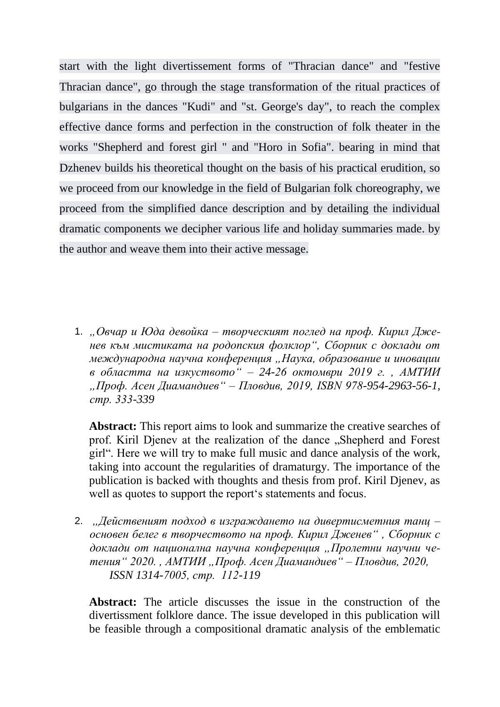start with the light divertissement forms of "Thracian dance" and "festive Thracian dance", go through the stage transformation of the ritual practices of bulgarians in the dances "Kudi" and "st. George's day", to reach the complex effective dance forms and perfection in the construction of folk theater in the works "Shepherd and forest girl " and "Horo in Sofia". bearing in mind that Dzhenev builds his theoretical thought on the basis of his practical erudition, so we proceed from our knowledge in the field of Bulgarian folk choreography, we proceed from the simplified dance description and by detailing the individual dramatic components we decipher various life and holiday summaries made. by the author and weave them into their active message.

1. *"Овчар и Юда девойка – творческият поглед на проф. Кирил Дженев към мистиката на родопския фолклор", Сборник с доклади от международна научна конференция "Наука, образование и иновации в областта на изкуството" – 24-26 октомври 2019 г. , АМТИИ "Проф. Асен Диамандиев" – Пловдив, 2019, ISBN 978-954-2963-56-1, стр. 333-339*

**Abstract:** This report aims to look and summarize the creative searches of prof. Kiril Djenev at the realization of the dance "Shepherd and Forest girl". Here we will try to make full music and dance analysis of the work, taking into account the regularities of dramaturgy. The importance of the publication is backed with thoughts and thesis from prof. Kiril Djenev, as well as quotes to support the report's statements and focus.

2. *"Действеният подход в изграждането на дивертисметния танц – основен белег в творчеството на проф. Кирил Дженев" , Сборник с доклади от национална научна конференция "Пролетни научни четения" 2020. , АМТИИ "Проф. Асен Диамандиев" – Пловдив, 2020, ISSN 1314-7005, стр. 112-119*

**Abstract:** The article discusses the issue in the construction of the divertissment folklore dance. The issue developed in this publication will be feasible through a compositional dramatic analysis of the emblematic